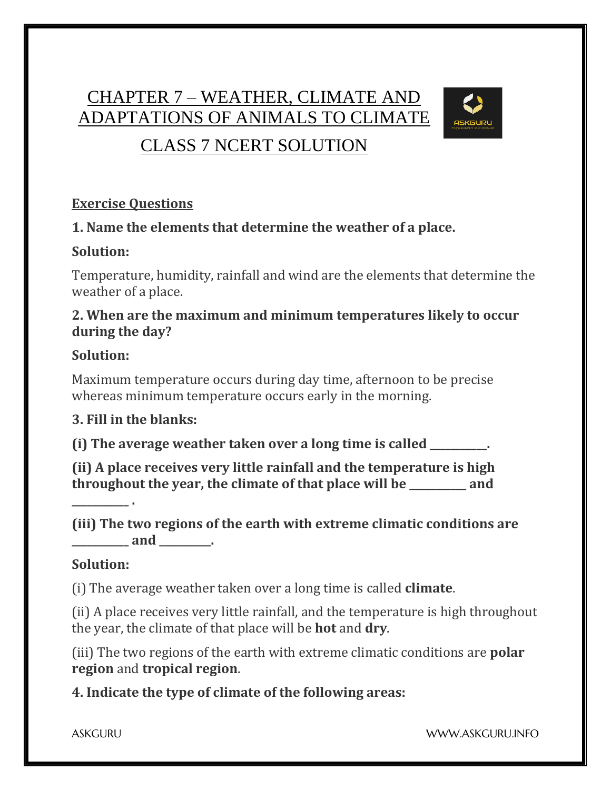# CHAPTER 7 – WEATHER, CLIMATE AND ADAPTATIONS OF ANIMALS TO CLIMATE



# CLASS 7 NCERT SOLUTION

#### **Exercise Questions**

### **1. Name the elements that determine the weather of a place.**

#### **Solution:**

Temperature, humidity, rainfall and wind are the elements that determine the weather of a place.

#### **2. When are the maximum and minimum temperatures likely to occur during the day?**

### **Solution:**

Maximum temperature occurs during day time, afternoon to be precise whereas minimum temperature occurs early in the morning.

### **3. Fill in the blanks:**

**(i) The average weather taken over a long time is called \_\_\_\_\_\_\_\_\_\_\_.**

**(ii) A place receives very little rainfall and the temperature is high throughout the year, the climate of that place will be \_\_\_\_\_\_\_\_\_\_\_ and** 

**\_\_\_\_\_\_\_\_\_\_\_ .**

**(iii) The two regions of the earth with extreme climatic conditions are \_\_\_\_\_\_\_\_\_\_\_ and \_\_\_\_\_\_\_\_\_\_.**

### **Solution:**

(i) The average weather taken over a long time is called **climate**.

(ii) A place receives very little rainfall, and the temperature is high throughout the year, the climate of that place will be **hot** and **dry**.

(iii) The two regions of the earth with extreme climatic conditions are **polar region** and **tropical region**.

**4. Indicate the type of climate of the following areas:**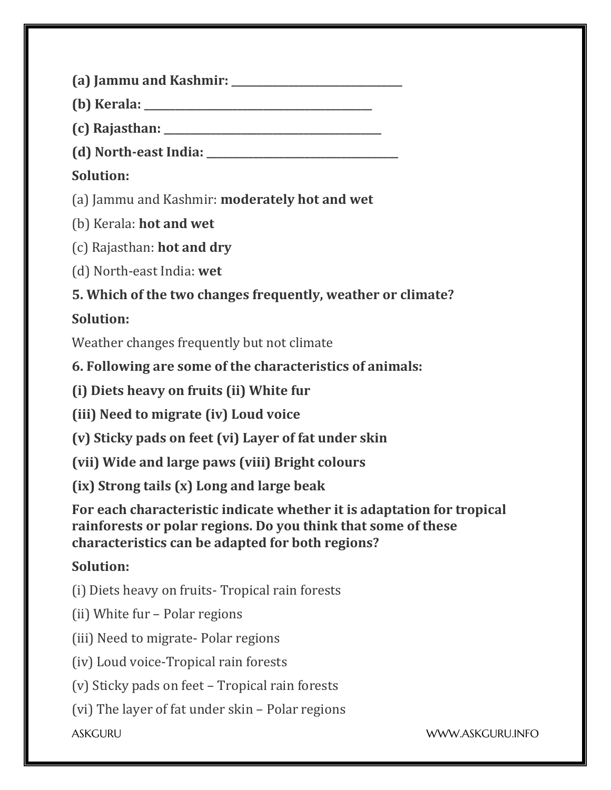**(a) Jammu and Kashmir: \_\_\_\_\_\_\_\_\_\_\_\_\_\_\_\_\_\_\_\_\_\_\_\_\_\_\_\_\_\_\_\_\_**

**(b) Kerala: \_\_\_\_\_\_\_\_\_\_\_\_\_\_\_\_\_\_\_\_\_\_\_\_\_\_\_\_\_\_\_\_\_\_\_\_\_\_\_\_\_\_\_\_**

**(c) Rajasthan: \_\_\_\_\_\_\_\_\_\_\_\_\_\_\_\_\_\_\_\_\_\_\_\_\_\_\_\_\_\_\_\_\_\_\_\_\_\_\_\_\_\_**

**(d) North-east India: \_\_\_\_\_\_\_\_\_\_\_\_\_\_\_\_\_\_\_\_\_\_\_\_\_\_\_\_\_\_\_\_\_\_\_\_\_**

# **Solution:**

(a) Jammu and Kashmir: **moderately hot and wet**

(b) Kerala: **hot and wet**

(c) Rajasthan: **hot and dry**

(d) North-east India: **wet**

**5. Which of the two changes frequently, weather or climate?**

# **Solution:**

Weather changes frequently but not climate

**6. Following are some of the characteristics of animals:**

**(i) Diets heavy on fruits (ii) White fur**

**(iii) Need to migrate (iv) Loud voice**

**(v) Sticky pads on feet (vi) Layer of fat under skin**

**(vii) Wide and large paws (viii) Bright colours**

**(ix) Strong tails (x) Long and large beak**

**For each characteristic indicate whether it is adaptation for tropical rainforests or polar regions. Do you think that some of these characteristics can be adapted for both regions?**

## **Solution:**

(i) Diets heavy on fruits- Tropical rain forests

(ii) White fur – Polar regions

(iii) Need to migrate- Polar regions

(iv) Loud voice-Tropical rain forests

(v) Sticky pads on feet – Tropical rain forests

(vi) The layer of fat under skin – Polar regions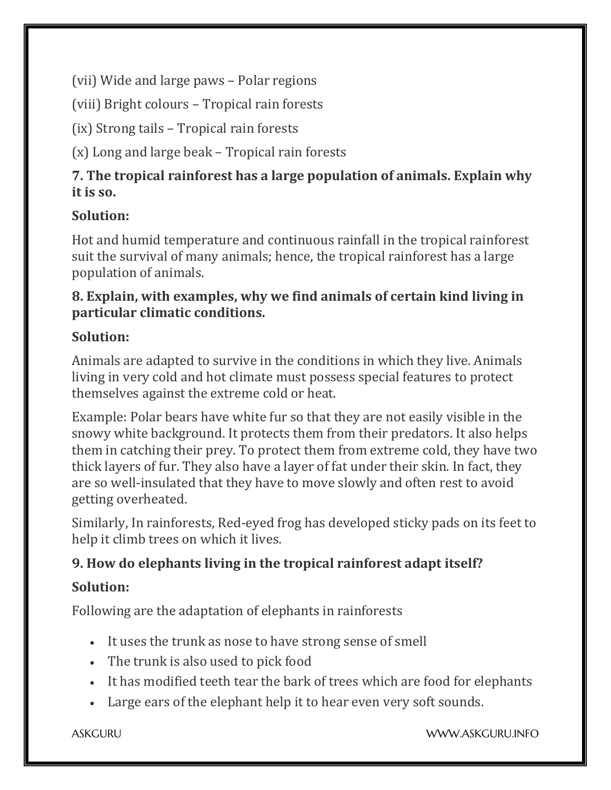(vii) Wide and large paws – Polar regions

(viii) Bright colours – Tropical rain forests

(ix) Strong tails – Tropical rain forests

(x) Long and large beak – Tropical rain forests

## **7. The tropical rainforest has a large population of animals. Explain why it is so.**

## **Solution:**

Hot and humid temperature and continuous rainfall in the tropical rainforest suit the survival of many animals; hence, the tropical rainforest has a large population of animals.

### **8. Explain, with examples, why we find animals of certain kind living in particular climatic conditions.**

## **Solution:**

Animals are adapted to survive in the conditions in which they live. Animals living in very cold and hot climate must possess special features to protect themselves against the extreme cold or heat.

Example: Polar bears have white fur so that they are not easily visible in the snowy white background. It protects them from their predators. It also helps them in catching their prey. To protect them from extreme cold, they have two thick layers of fur. They also have a layer of fat under their skin. In fact, they are so well-insulated that they have to move slowly and often rest to avoid getting overheated.

Similarly, In rainforests, Red-eyed frog has developed sticky pads on its feet to help it climb trees on which it lives.

## **9. How do elephants living in the tropical rainforest adapt itself?**

## **Solution:**

Following are the adaptation of elephants in rainforests

- It uses the trunk as nose to have strong sense of smell
- The trunk is also used to pick food
- It has modified teeth tear the bark of trees which are food for elephants
- Large ears of the elephant help it to hear even very soft sounds.